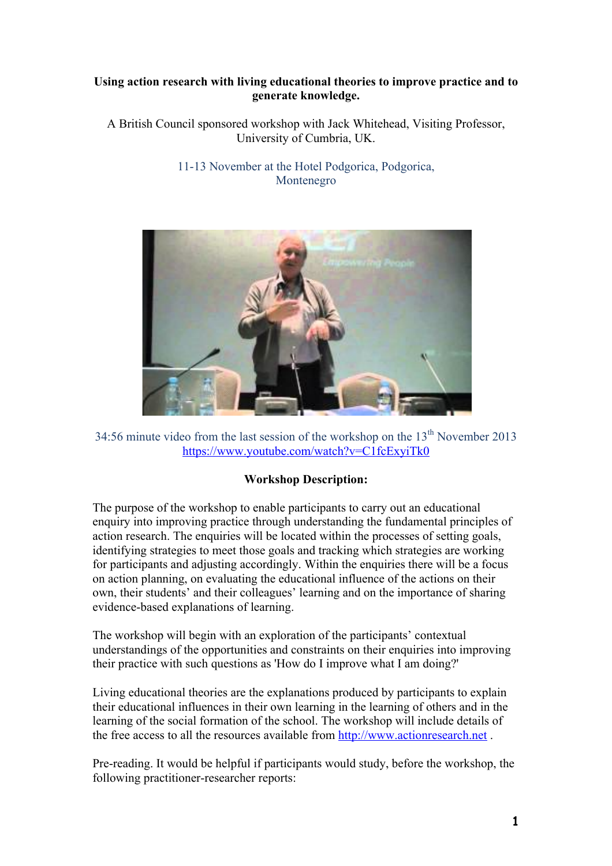## **Using action research with living educational theories to improve practice and to generate knowledge.**

A British Council sponsored workshop with Jack Whitehead, Visiting Professor, University of Cumbria, UK.

## 11-13 November at the Hotel Podgorica, Podgorica, Montenegro



34:56 minute video from the last session of the workshop on the  $13<sup>th</sup>$  November 2013 https://www.youtube.com/watch?v=C1fcExyiTk0

## **Workshop Description:**

The purpose of the workshop to enable participants to carry out an educational enquiry into improving practice through understanding the fundamental principles of action research. The enquiries will be located within the processes of setting goals, identifying strategies to meet those goals and tracking which strategies are working for participants and adjusting accordingly. Within the enquiries there will be a focus on action planning, on evaluating the educational influence of the actions on their own, their students' and their colleagues' learning and on the importance of sharing evidence-based explanations of learning.

The workshop will begin with an exploration of the participants' contextual understandings of the opportunities and constraints on their enquiries into improving their practice with such questions as 'How do I improve what I am doing?'

Living educational theories are the explanations produced by participants to explain their educational influences in their own learning in the learning of others and in the learning of the social formation of the school. The workshop will include details of the free access to all the resources available from http://www.actionresearch.net .

Pre-reading. It would be helpful if participants would study, before the workshop, the following practitioner-researcher reports: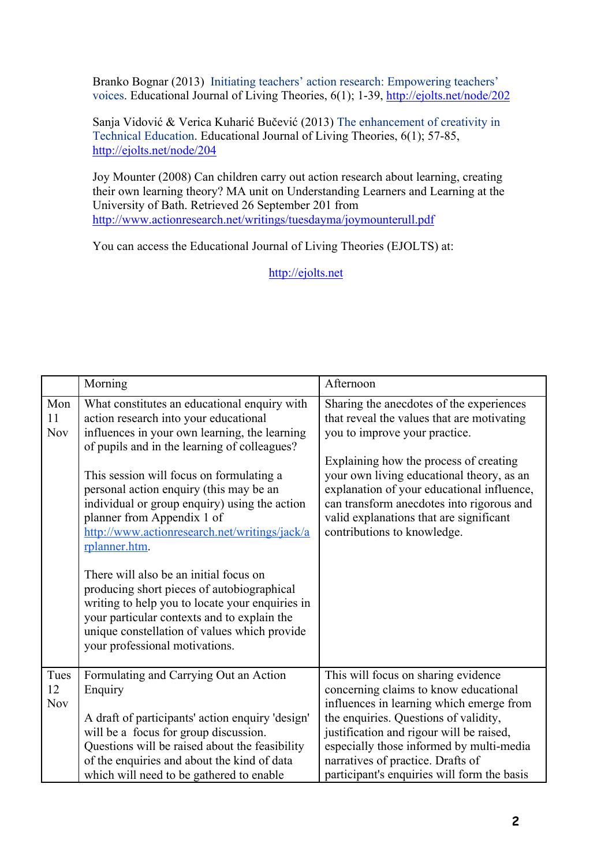Branko Bognar (2013) Initiating teachers' action research: Empowering teachers' voices. Educational Journal of Living Theories, 6(1); 1-39, http://ejolts.net/node/202

Sanja Vidović & Verica Kuharić Bučević (2013) The enhancement of creativity in Technical Education. Educational Journal of Living Theories, 6(1); 57-85, http://ejolts.net/node/204

Joy Mounter (2008) Can children carry out action research about learning, creating their own learning theory? MA unit on Understanding Learners and Learning at the University of Bath. Retrieved 26 September 201 from http://www.actionresearch.net/writings/tuesdayma/joymounterull.pdf

You can access the Educational Journal of Living Theories (EJOLTS) at:

http://ejolts.net

|                          | Morning                                                                                                                                                                                                                                                                                                                                                                                                                                                                                                                                                                                                                                                                                                    | Afternoon                                                                                                                                                                                                                                                                                                                                                                           |
|--------------------------|------------------------------------------------------------------------------------------------------------------------------------------------------------------------------------------------------------------------------------------------------------------------------------------------------------------------------------------------------------------------------------------------------------------------------------------------------------------------------------------------------------------------------------------------------------------------------------------------------------------------------------------------------------------------------------------------------------|-------------------------------------------------------------------------------------------------------------------------------------------------------------------------------------------------------------------------------------------------------------------------------------------------------------------------------------------------------------------------------------|
| Mon<br>11<br><b>Nov</b>  | What constitutes an educational enquiry with<br>action research into your educational<br>influences in your own learning, the learning<br>of pupils and in the learning of colleagues?<br>This session will focus on formulating a<br>personal action enquiry (this may be an<br>individual or group enquiry) using the action<br>planner from Appendix 1 of<br>http://www.actionresearch.net/writings/jack/a<br>rplanner.htm.<br>There will also be an initial focus on<br>producing short pieces of autobiographical<br>writing to help you to locate your enquiries in<br>your particular contexts and to explain the<br>unique constellation of values which provide<br>your professional motivations. | Sharing the anecdotes of the experiences<br>that reveal the values that are motivating<br>you to improve your practice.<br>Explaining how the process of creating<br>your own living educational theory, as an<br>explanation of your educational influence,<br>can transform anecdotes into rigorous and<br>valid explanations that are significant<br>contributions to knowledge. |
| Tues<br>12<br><b>Nov</b> | Formulating and Carrying Out an Action<br>Enquiry<br>A draft of participants' action enquiry 'design'<br>will be a focus for group discussion.<br>Questions will be raised about the feasibility<br>of the enquiries and about the kind of data<br>which will need to be gathered to enable                                                                                                                                                                                                                                                                                                                                                                                                                | This will focus on sharing evidence<br>concerning claims to know educational<br>influences in learning which emerge from<br>the enquiries. Questions of validity,<br>justification and rigour will be raised,<br>especially those informed by multi-media<br>narratives of practice. Drafts of<br>participant's enquiries will form the basis                                       |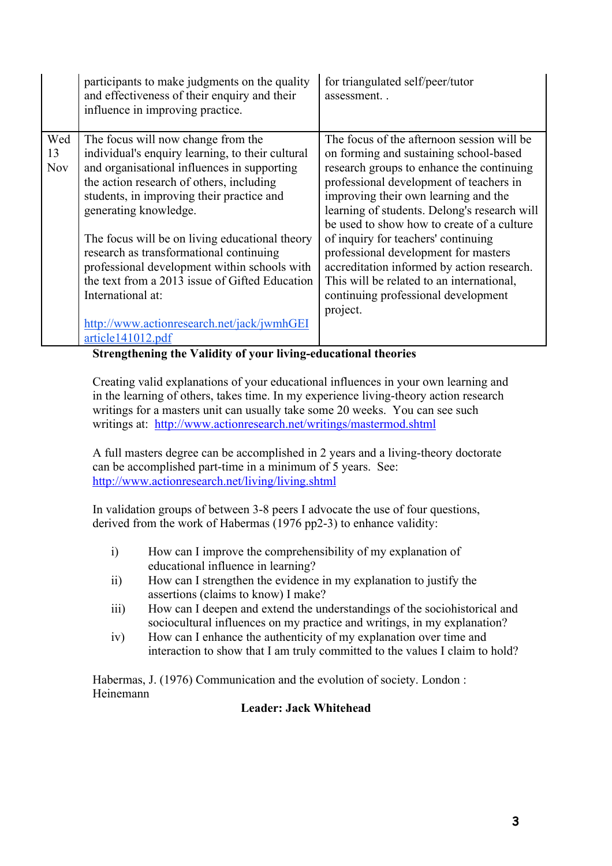|                         | participants to make judgments on the quality<br>and effectiveness of their enquiry and their<br>influence in improving practice.                                                                                                                                                   | for triangulated self/peer/tutor<br>assessment                                                                                                                                                                                                                                                                     |
|-------------------------|-------------------------------------------------------------------------------------------------------------------------------------------------------------------------------------------------------------------------------------------------------------------------------------|--------------------------------------------------------------------------------------------------------------------------------------------------------------------------------------------------------------------------------------------------------------------------------------------------------------------|
| Wed<br>13<br><b>Nov</b> | The focus will now change from the<br>individual's enquiry learning, to their cultural<br>and organisational influences in supporting<br>the action research of others, including<br>students, in improving their practice and<br>generating knowledge.                             | The focus of the afternoon session will be<br>on forming and sustaining school-based<br>research groups to enhance the continuing<br>professional development of teachers in<br>improving their own learning and the<br>learning of students. Delong's research will<br>be used to show how to create of a culture |
|                         | The focus will be on living educational theory<br>research as transformational continuing<br>professional development within schools with<br>the text from a 2013 issue of Gifted Education<br>International at:<br>http://www.actionresearch.net/jack/jwmhGEI<br>article141012.pdf | of inquiry for teachers' continuing<br>professional development for masters<br>accreditation informed by action research.<br>This will be related to an international,<br>continuing professional development<br>project.                                                                                          |

**Strengthening the Validity of your living-educational theories**

Creating valid explanations of your educational influences in your own learning and in the learning of others, takes time. In my experience living-theory action research writings for a masters unit can usually take some 20 weeks. You can see such writings at: http://www.actionresearch.net/writings/mastermod.shtml

A full masters degree can be accomplished in 2 years and a living-theory doctorate can be accomplished part-time in a minimum of 5 years. See: http://www.actionresearch.net/living/living.shtml

In validation groups of between 3-8 peers I advocate the use of four questions, derived from the work of Habermas (1976 pp2-3) to enhance validity:

- i) How can I improve the comprehensibility of my explanation of educational influence in learning?
- ii) How can I strengthen the evidence in my explanation to justify the assertions (claims to know) I make?
- iii) How can I deepen and extend the understandings of the sociohistorical and sociocultural influences on my practice and writings, in my explanation?
- iv) How can I enhance the authenticity of my explanation over time and interaction to show that I am truly committed to the values I claim to hold?

Habermas, J. (1976) Communication and the evolution of society. London : Heinemann

## **Leader: Jack Whitehead**